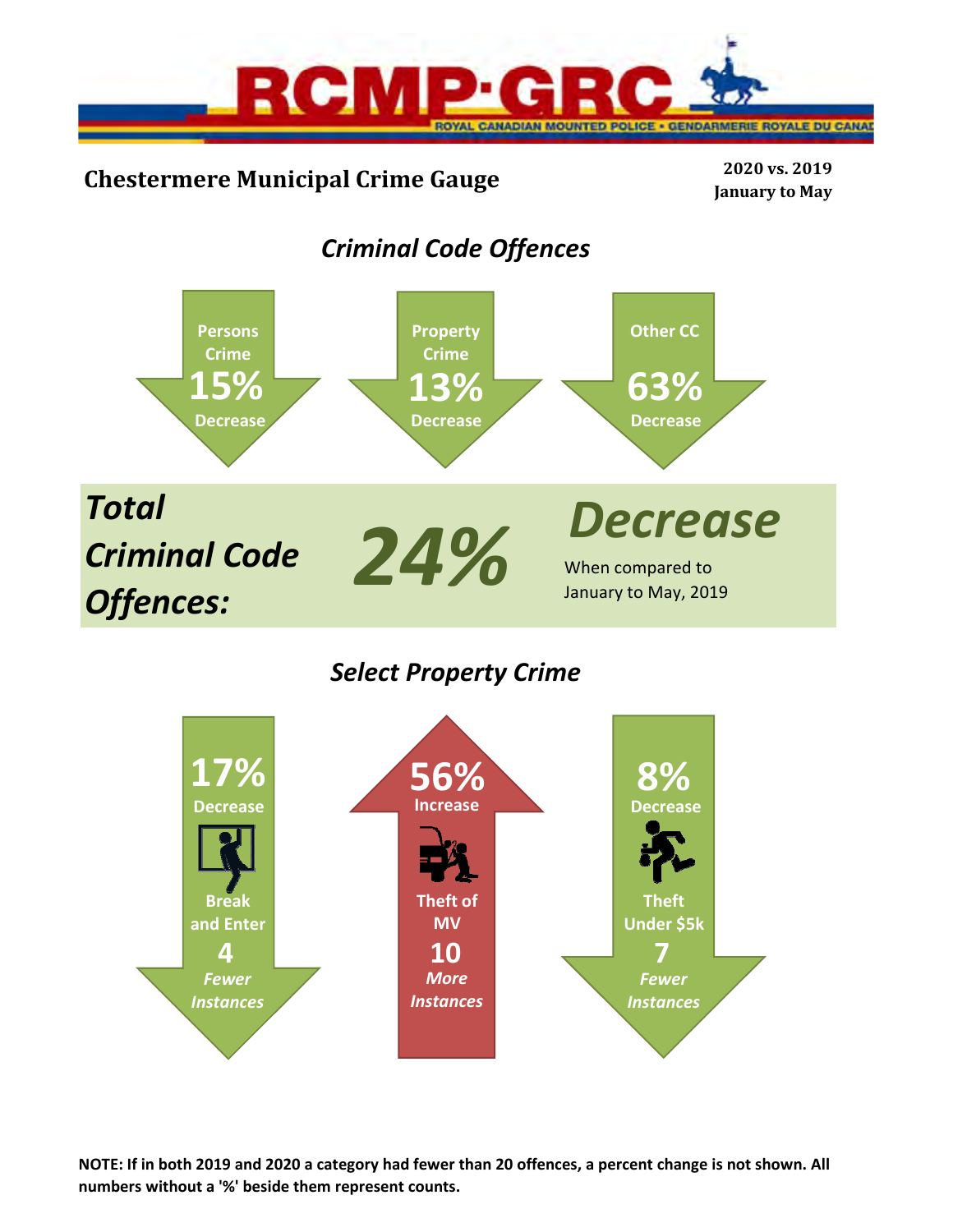

# **Chestermere Municipal Crime Gauge <sup>2020</sup> vs. <sup>2019</sup>**

**January to May**

# *Criminal Code Offences*



*Select Property Crime*



**NOTE: If in both 2019 and 2020 a category had fewer than 20 offences, a percent change is not shown. All numbers without a '%' beside them represent counts.**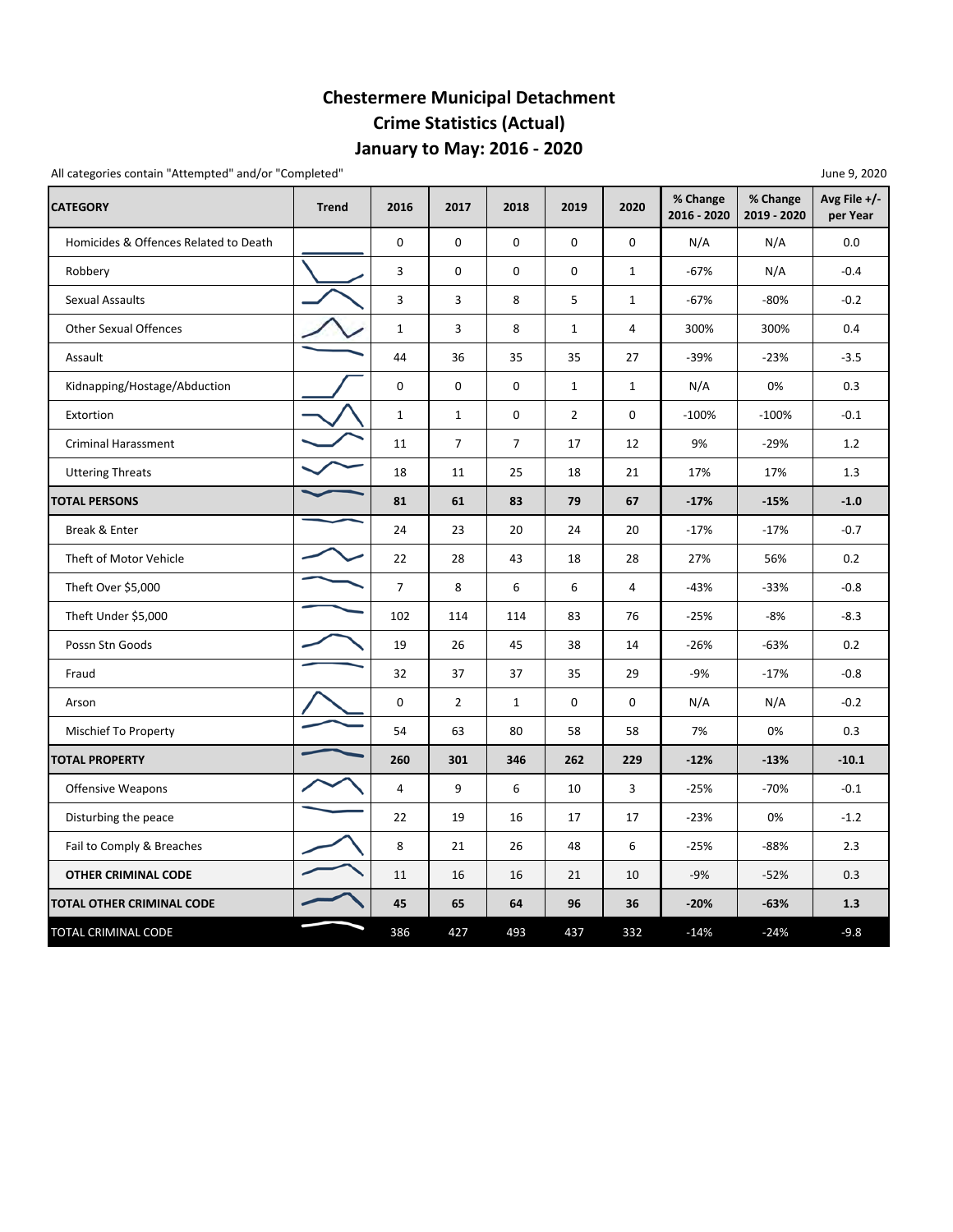## **Chestermere Municipal Detachment Crime Statistics (Actual) January to May: 2016 ‐ 2020**

All categories contain "Attempted" and/or "Completed" and  $\sim$  2020  $\sim$  3000  $\sim$  3000  $\sim$  3000  $\sim$  3000  $\sim$  3000  $\sim$  3000  $\sim$  3000  $\sim$  3000  $\sim$  3000  $\sim$  3000  $\sim$  3000  $\sim$  3000  $\sim$  3000  $\sim$  3000  $\sim$  3000  $\sim$ 

| -טי                                   |              |                |                |                |                |              |                         |                         |                          |  |
|---------------------------------------|--------------|----------------|----------------|----------------|----------------|--------------|-------------------------|-------------------------|--------------------------|--|
| <b>CATEGORY</b>                       | <b>Trend</b> | 2016           | 2017           | 2018           | 2019           | 2020         | % Change<br>2016 - 2020 | % Change<br>2019 - 2020 | Avg File +/-<br>per Year |  |
| Homicides & Offences Related to Death |              | 0              | 0              | $\mathbf 0$    | 0              | 0            | N/A                     | N/A                     | 0.0                      |  |
| Robbery                               |              | 3              | 0              | 0              | 0              | $\mathbf{1}$ | $-67%$                  | N/A                     | $-0.4$                   |  |
| Sexual Assaults                       |              | 3              | 3              | 8              | 5              | $\mathbf{1}$ | $-67%$                  | -80%                    | $-0.2$                   |  |
| <b>Other Sexual Offences</b>          |              | $\mathbf{1}$   | 3              | 8              | $\mathbf{1}$   | 4            | 300%                    | 300%                    | 0.4                      |  |
| Assault                               |              | 44             | 36             | 35             | 35             | 27           | $-39%$                  | $-23%$                  | $-3.5$                   |  |
| Kidnapping/Hostage/Abduction          |              | 0              | $\mathbf 0$    | $\mathbf 0$    | $\mathbf{1}$   | $\mathbf{1}$ | N/A                     | 0%                      | 0.3                      |  |
| Extortion                             |              | $1\,$          | $\mathbf{1}$   | $\mathbf 0$    | $\overline{2}$ | 0            | $-100%$                 | $-100%$                 | $-0.1$                   |  |
| <b>Criminal Harassment</b>            |              | 11             | $\overline{7}$ | $\overline{7}$ | 17             | 12           | 9%                      | $-29%$                  | 1.2                      |  |
| <b>Uttering Threats</b>               |              | 18             | 11             | 25             | 18             | 21           | 17%                     | 17%                     | 1.3                      |  |
| <b>TOTAL PERSONS</b>                  |              | 81             | 61             | 83             | 79             | 67           | $-17%$                  | $-15%$                  | $-1.0$                   |  |
| Break & Enter                         |              | 24             | 23             | 20             | 24             | 20           | $-17%$                  | $-17%$                  | $-0.7$                   |  |
| Theft of Motor Vehicle                |              | 22             | 28             | 43             | 18             | 28           | 27%                     | 56%                     | 0.2                      |  |
| Theft Over \$5,000                    |              | $\overline{7}$ | 8              | 6              | 6              | 4            | $-43%$                  | $-33%$                  | $-0.8$                   |  |
| Theft Under \$5,000                   |              | 102            | 114            | 114            | 83             | 76           | $-25%$                  | -8%                     | $-8.3$                   |  |
| Possn Stn Goods                       |              | 19             | 26             | 45             | 38             | 14           | $-26%$                  | $-63%$                  | 0.2                      |  |
| Fraud                                 |              | 32             | 37             | 37             | 35             | 29           | $-9%$                   | $-17%$                  | $-0.8$                   |  |
| Arson                                 |              | 0              | $\overline{2}$ | $\mathbf{1}$   | 0              | 0            | N/A                     | N/A                     | $-0.2$                   |  |
| Mischief To Property                  |              | 54             | 63             | 80             | 58             | 58           | 7%                      | 0%                      | 0.3                      |  |
| <b>TOTAL PROPERTY</b>                 |              | 260            | 301            | 346            | 262            | 229          | $-12%$                  | $-13%$                  | $-10.1$                  |  |
| <b>Offensive Weapons</b>              |              | $\overline{4}$ | 9              | 6              | 10             | 3            | $-25%$                  | $-70%$                  | $-0.1$                   |  |
| Disturbing the peace                  |              | 22             | 19             | 16             | 17             | 17           | $-23%$                  | 0%                      | $-1.2$                   |  |
| Fail to Comply & Breaches             |              | 8              | 21             | 26             | 48             | 6            | $-25%$                  | $-88%$                  | 2.3                      |  |
| <b>OTHER CRIMINAL CODE</b>            |              | 11             | 16             | 16             | 21             | 10           | $-9%$                   | $-52%$                  | 0.3                      |  |
| TOTAL OTHER CRIMINAL CODE             |              | 45             | 65             | 64             | 96             | 36           | $-20%$                  | $-63%$                  | 1.3                      |  |
| TOTAL CRIMINAL CODE                   |              | 386            | 427            | 493            | 437            | 332          | $-14%$                  | $-24%$                  | $-9.8$                   |  |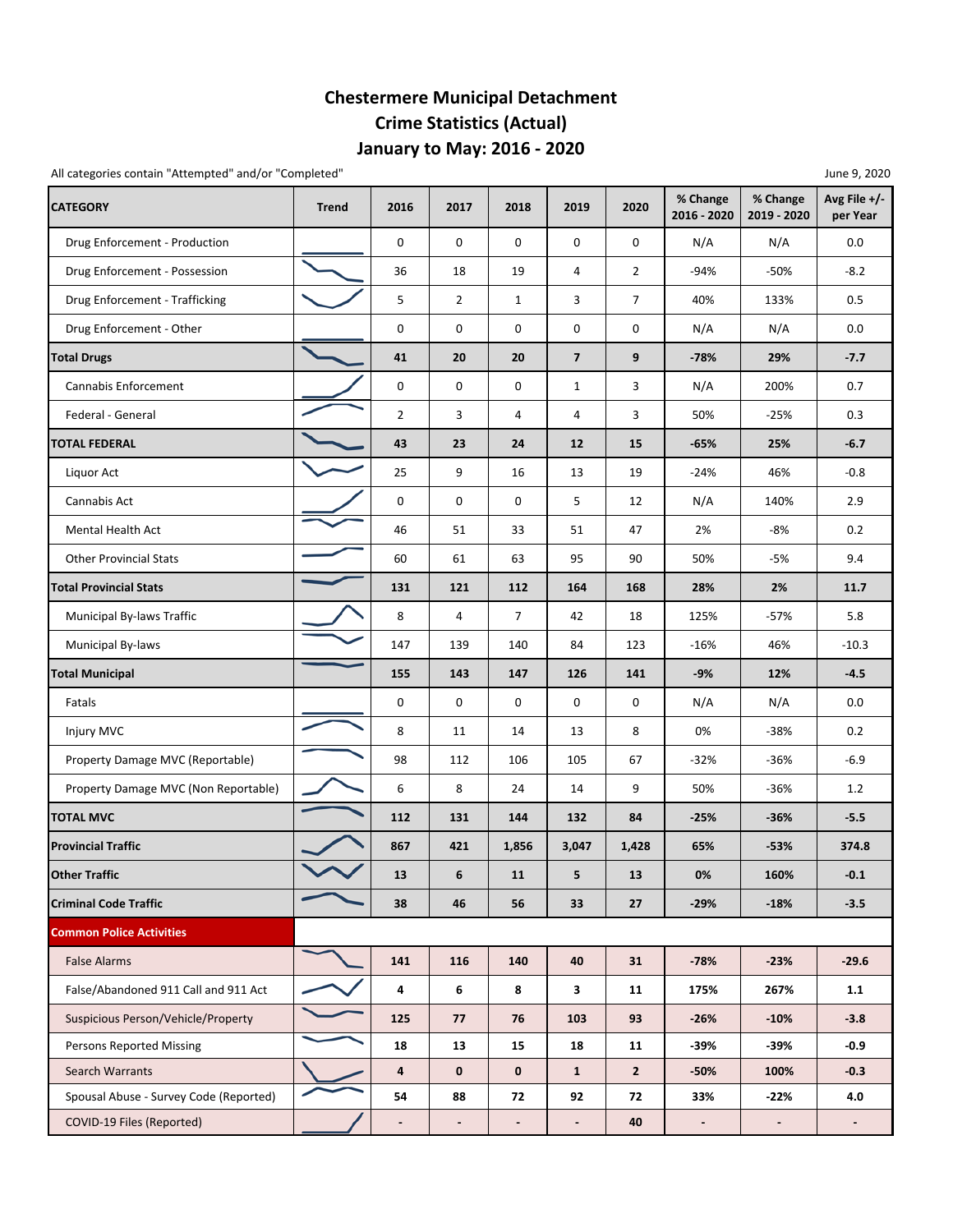## **Chestermere Municipal Detachment Crime Statistics (Actual) January to May: 2016 ‐ 2020**

| All categories contain "Attempted" and/or "Completed" |              |                          |                |                          |                          |                |                         |                         | June 9, 2020             |
|-------------------------------------------------------|--------------|--------------------------|----------------|--------------------------|--------------------------|----------------|-------------------------|-------------------------|--------------------------|
| <b>CATEGORY</b>                                       | <b>Trend</b> | 2016                     | 2017           | 2018                     | 2019                     | 2020           | % Change<br>2016 - 2020 | % Change<br>2019 - 2020 | Avg File +/-<br>per Year |
| Drug Enforcement - Production                         |              | 0                        | 0              | 0                        | 0                        | $\mathbf 0$    | N/A                     | N/A                     | 0.0                      |
| Drug Enforcement - Possession                         |              | 36                       | 18             | 19                       | 4                        | $\overline{2}$ | $-94%$                  | $-50%$                  | $-8.2$                   |
| Drug Enforcement - Trafficking                        |              | 5                        | $\overline{2}$ | 1                        | 3                        | $\overline{7}$ | 40%                     | 133%                    | 0.5                      |
| Drug Enforcement - Other                              |              | 0                        | 0              | 0                        | 0                        | 0              | N/A                     | N/A                     | 0.0                      |
| <b>Total Drugs</b>                                    |              | 41                       | 20             | 20                       | $\overline{7}$           | 9              | $-78%$                  | 29%                     | $-7.7$                   |
| Cannabis Enforcement                                  |              | 0                        | 0              | 0                        | $\mathbf{1}$             | 3              | N/A                     | 200%                    | 0.7                      |
| Federal - General                                     |              | $\overline{2}$           | 3              | 4                        | 4                        | 3              | 50%                     | $-25%$                  | 0.3                      |
| <b>TOTAL FEDERAL</b>                                  |              | 43                       | 23             | 24                       | 12                       | 15             | $-65%$                  | 25%                     | $-6.7$                   |
| Liquor Act                                            |              | 25                       | 9              | 16                       | 13                       | 19             | $-24%$                  | 46%                     | $-0.8$                   |
| Cannabis Act                                          |              | 0                        | 0              | 0                        | 5                        | 12             | N/A                     | 140%                    | 2.9                      |
| <b>Mental Health Act</b>                              |              | 46                       | 51             | 33                       | 51                       | 47             | 2%                      | -8%                     | 0.2                      |
| <b>Other Provincial Stats</b>                         |              | 60                       | 61             | 63                       | 95                       | 90             | 50%                     | -5%                     | 9.4                      |
| <b>Total Provincial Stats</b>                         |              | 131                      | 121            | 112                      | 164                      | 168            | 28%                     | 2%                      | 11.7                     |
| Municipal By-laws Traffic                             |              | 8                        | 4              | 7                        | 42                       | 18             | 125%                    | $-57%$                  | 5.8                      |
| Municipal By-laws                                     |              | 147                      | 139            | 140                      | 84                       | 123            | $-16%$                  | 46%                     | $-10.3$                  |
| <b>Total Municipal</b>                                |              | 155                      | 143            | 147                      | 126                      | 141            | $-9%$                   | 12%                     | $-4.5$                   |
| Fatals                                                |              | 0                        | 0              | $\mathbf 0$              | 0                        | 0              | N/A                     | N/A                     | 0.0                      |
| Injury MVC                                            |              | 8                        | 11             | 14                       | 13                       | 8              | 0%                      | $-38%$                  | 0.2                      |
| Property Damage MVC (Reportable)                      |              | 98                       | 112            | 106                      | 105                      | 67             | $-32%$                  | $-36%$                  | $-6.9$                   |
| Property Damage MVC (Non Reportable)                  |              | 6                        | 8              | 24                       | 14                       | 9              | 50%                     | $-36%$                  | 1.2                      |
| <b>TOTAL MVC</b>                                      |              | 112                      | 131            | 144                      | 132                      | 84             | $-25%$                  | $-36%$                  | $-5.5$                   |
| <b>Provincial Traffic</b>                             |              | 867                      | 421            | 1,856                    | 3,047                    | 1,428          | 65%                     | $-53%$                  | 374.8                    |
| <b>Other Traffic</b>                                  |              | 13                       | 6              | 11                       | 5                        | 13             | 0%                      | 160%                    | $-0.1$                   |
| <b>Criminal Code Traffic</b>                          |              | 38                       | 46             | 56                       | 33                       | 27             | $-29%$                  | $-18%$                  | $-3.5$                   |
| <b>Common Police Activities</b>                       |              |                          |                |                          |                          |                |                         |                         |                          |
| <b>False Alarms</b>                                   |              | 141                      | 116            | 140                      | 40                       | 31             | $-78%$                  | $-23%$                  | $-29.6$                  |
| False/Abandoned 911 Call and 911 Act                  |              | 4                        | 6              | 8                        | $\mathbf{3}$             | 11             | 175%                    | 267%                    | 1.1                      |
| Suspicious Person/Vehicle/Property                    |              | 125                      | 77             | 76                       | 103                      | 93             | $-26%$                  | $-10%$                  | $-3.8$                   |
| <b>Persons Reported Missing</b>                       |              | 18                       | 13             | 15                       | 18                       | 11             | $-39%$                  | -39%                    | $-0.9$                   |
| <b>Search Warrants</b>                                |              | 4                        | $\mathbf 0$    | $\mathbf 0$              | $\mathbf{1}$             | $\mathbf{2}$   | -50%                    | 100%                    | $-0.3$                   |
| Spousal Abuse - Survey Code (Reported)                |              | 54                       | 88             | 72                       | 92                       | 72             | 33%                     | $-22%$                  | 4.0                      |
| COVID-19 Files (Reported)                             |              | $\overline{\phantom{a}}$ | $\blacksquare$ | $\overline{\phantom{a}}$ | $\overline{\phantom{a}}$ | 40             | $\blacksquare$          | $\blacksquare$          |                          |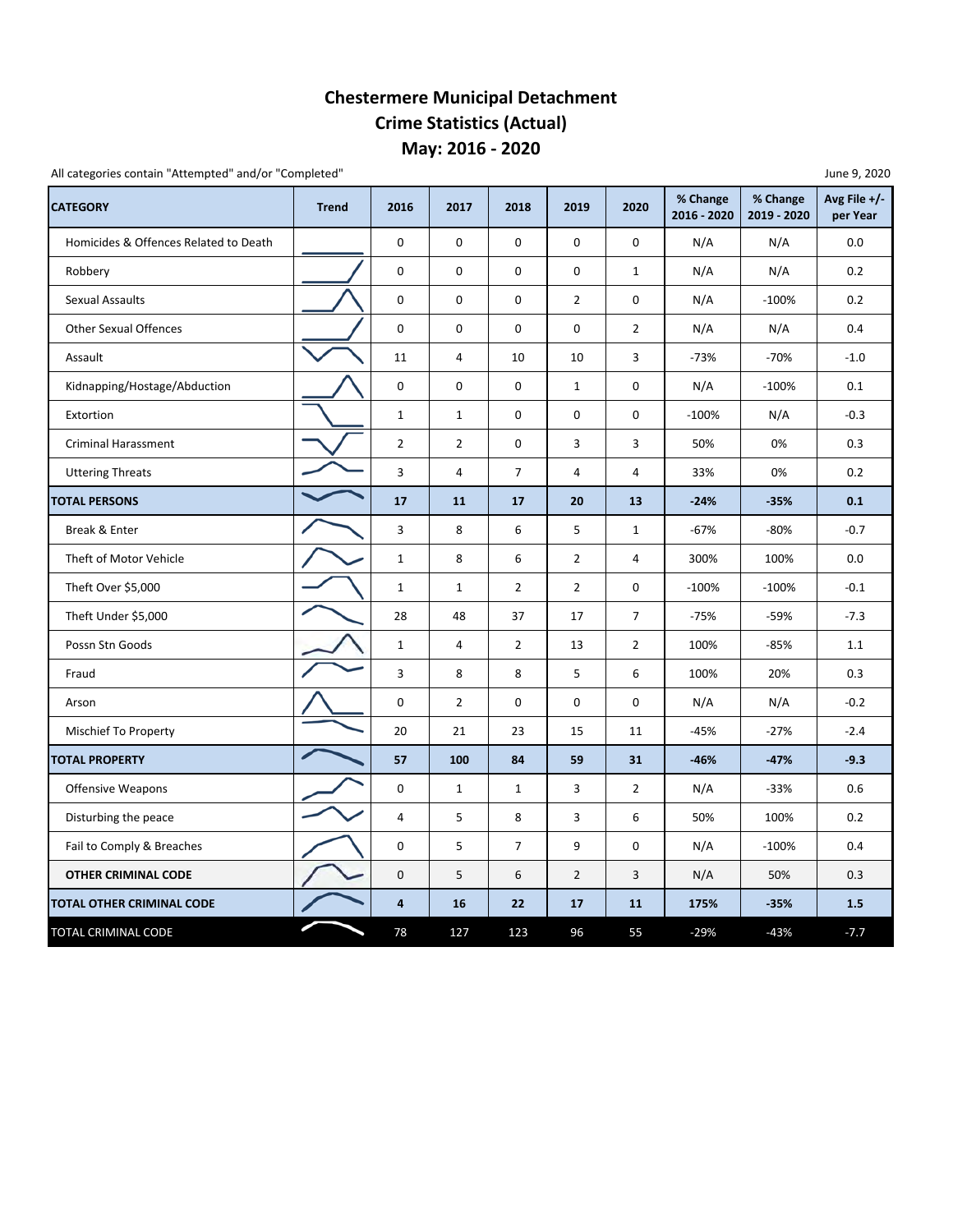### **Chestermere Municipal Detachment Crime Statistics (Actual) May: 2016 ‐ 2020**

All categories contain "Attempted" and/or "Completed"

| <b>CATEGORY</b>                       | <b>Trend</b> | 2016                    | 2017           | 2018           | 2019           | 2020           | % Change<br>2016 - 2020 | % Change<br>2019 - 2020 | Avg File $+/-$<br>per Year |
|---------------------------------------|--------------|-------------------------|----------------|----------------|----------------|----------------|-------------------------|-------------------------|----------------------------|
| Homicides & Offences Related to Death |              | 0                       | 0              | 0              | $\mathbf 0$    | 0              | N/A                     | N/A                     | 0.0                        |
| Robbery                               |              | 0                       | 0              | 0              | $\mathbf 0$    | $\mathbf{1}$   | N/A                     | N/A                     | 0.2                        |
| <b>Sexual Assaults</b>                |              | 0                       | 0              | 0              | $\overline{2}$ | 0              | N/A                     | $-100%$                 | 0.2                        |
| <b>Other Sexual Offences</b>          |              | 0                       | $\mathsf 0$    | $\pmb{0}$      | $\mathbf 0$    | $\overline{2}$ | N/A                     | N/A                     | 0.4                        |
| Assault                               |              | 11                      | 4              | 10             | 10             | 3              | $-73%$                  | $-70%$                  | $-1.0$                     |
| Kidnapping/Hostage/Abduction          |              | 0                       | 0              | 0              | $\mathbf{1}$   | 0              | N/A                     | $-100%$                 | 0.1                        |
| Extortion                             |              | $\mathbf{1}$            | $\mathbf{1}$   | 0              | $\mathbf 0$    | 0              | $-100%$                 | N/A                     | $-0.3$                     |
| <b>Criminal Harassment</b>            |              | $\overline{2}$          | $\overline{2}$ | 0              | 3              | 3              | 50%                     | 0%                      | 0.3                        |
| <b>Uttering Threats</b>               |              | $\mathsf 3$             | 4              | $\overline{7}$ | 4              | 4              | 33%                     | 0%                      | 0.2                        |
| <b>TOTAL PERSONS</b>                  |              | 17                      | 11             | 17             | 20             | 13             | $-24%$                  | $-35%$                  | 0.1                        |
| Break & Enter                         |              | 3                       | 8              | 6              | 5              | $\mathbf{1}$   | $-67%$                  | $-80%$                  | $-0.7$                     |
| Theft of Motor Vehicle                |              | $\mathbf{1}$            | 8              | 6              | $\overline{2}$ | $\overline{4}$ | 300%                    | 100%                    | 0.0                        |
| Theft Over \$5,000                    |              | $\mathbf{1}$            | $\mathbf{1}$   | $\overline{2}$ | $\overline{2}$ | 0              | $-100%$                 | $-100%$                 | $-0.1$                     |
| Theft Under \$5,000                   |              | 28                      | 48             | 37             | 17             | $\overline{7}$ | $-75%$                  | $-59%$                  | $-7.3$                     |
| Possn Stn Goods                       |              | $\mathbf 1$             | 4              | $\overline{2}$ | 13             | $\overline{2}$ | 100%                    | $-85%$                  | 1.1                        |
| Fraud                                 |              | 3                       | 8              | 8              | 5              | 6              | 100%                    | 20%                     | 0.3                        |
| Arson                                 |              | 0                       | $\overline{2}$ | 0              | 0              | 0              | N/A                     | N/A                     | $-0.2$                     |
| Mischief To Property                  |              | 20                      | 21             | 23             | 15             | 11             | $-45%$                  | $-27%$                  | $-2.4$                     |
| <b>TOTAL PROPERTY</b>                 |              | 57                      | 100            | 84             | 59             | 31             | $-46%$                  | $-47%$                  | $-9.3$                     |
| <b>Offensive Weapons</b>              |              | 0                       | $\mathbf{1}$   | $\mathbf{1}$   | 3              | $\overline{2}$ | N/A                     | $-33%$                  | 0.6                        |
| Disturbing the peace                  |              | $\overline{4}$          | 5              | 8              | 3              | 6              | 50%                     | 100%                    | 0.2                        |
| Fail to Comply & Breaches             |              | 0                       | 5              | $\overline{7}$ | 9              | 0              | N/A                     | $-100%$                 | 0.4                        |
| <b>OTHER CRIMINAL CODE</b>            |              | $\pmb{0}$               | 5              | 6              | $\overline{2}$ | 3              | N/A                     | 50%                     | 0.3                        |
| TOTAL OTHER CRIMINAL CODE             |              | $\overline{\mathbf{4}}$ | 16             | 22             | 17             | 11             | 175%                    | $-35%$                  | 1.5                        |
| TOTAL CRIMINAL CODE                   |              | 78                      | 127            | 123            | 96             | 55             | $-29%$                  | $-43%$                  | $-7.7$                     |

June 9, 2020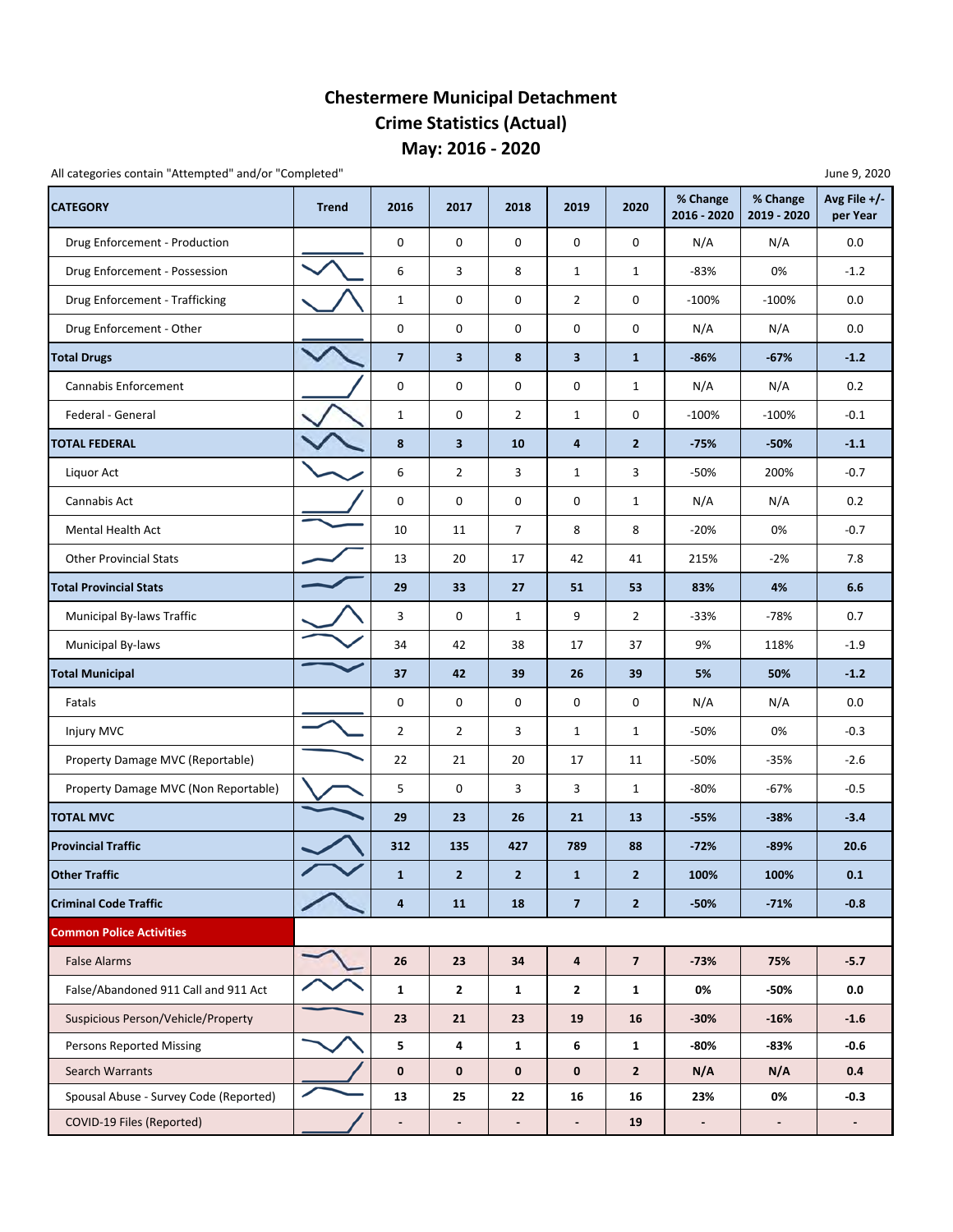### **Chestermere Municipal Detachment Crime Statistics (Actual) May: 2016 ‐ 2020**

All categories contain "Attempted" and/or "Completed" June 9, 2020

| <b>CATEGORY</b>                        | <b>Trend</b> | 2016                         | 2017                    | 2018           | 2019                     | 2020           | % Change<br>2016 - 2020      | % Change<br>2019 - 2020 | Avg File $+/-$<br>per Year |  |  |  |
|----------------------------------------|--------------|------------------------------|-------------------------|----------------|--------------------------|----------------|------------------------------|-------------------------|----------------------------|--|--|--|
| Drug Enforcement - Production          |              | 0                            | 0                       | 0              | 0                        | 0              | N/A                          | N/A                     | 0.0                        |  |  |  |
| Drug Enforcement - Possession          |              | 6                            | 3                       | 8              | $\mathbf{1}$             | $\mathbf{1}$   | -83%                         | 0%                      | $-1.2$                     |  |  |  |
| Drug Enforcement - Trafficking         |              | $\mathbf{1}$                 | 0                       | 0              | $\overline{2}$           | 0              | $-100%$                      | $-100%$                 | 0.0                        |  |  |  |
| Drug Enforcement - Other               |              | $\mathbf 0$                  | 0                       | 0              | 0                        | 0              | N/A                          | N/A                     | 0.0                        |  |  |  |
| <b>Total Drugs</b>                     |              | $\overline{\mathbf{z}}$      | $\overline{\mathbf{3}}$ | 8              | 3                        | $\mathbf{1}$   | $-86%$                       | $-67%$                  | $-1.2$                     |  |  |  |
| <b>Cannabis Enforcement</b>            |              | 0                            | 0                       | 0              | 0                        | $\mathbf{1}$   | N/A                          | N/A                     | 0.2                        |  |  |  |
| Federal - General                      |              | $\mathbf{1}$                 | 0                       | $\overline{2}$ | $\mathbf{1}$             | 0              | $-100%$                      | $-100%$                 | $-0.1$                     |  |  |  |
| <b>TOTAL FEDERAL</b>                   |              | 8                            | $\mathbf{3}$            | 10             | 4                        | $\mathbf{2}$   | $-75%$                       | $-50%$                  | $-1.1$                     |  |  |  |
| Liquor Act                             |              | 6                            | $\overline{2}$          | 3              | $\mathbf{1}$             | 3              | $-50%$                       | 200%                    | $-0.7$                     |  |  |  |
| Cannabis Act                           |              | $\mathsf 0$                  | 0                       | 0              | 0                        | $\mathbf{1}$   | N/A                          | N/A                     | 0.2                        |  |  |  |
| <b>Mental Health Act</b>               |              | 10                           | 11                      | $\overline{7}$ | 8                        | 8              | $-20%$                       | 0%                      | $-0.7$                     |  |  |  |
| <b>Other Provincial Stats</b>          |              | 13                           | 20                      | 17             | 42                       | 41             | 215%                         | $-2%$                   | 7.8                        |  |  |  |
| <b>Total Provincial Stats</b>          |              | 29                           | 33                      | 27             | 51                       | 53             | 83%                          | 4%                      | $6.6\,$                    |  |  |  |
| <b>Municipal By-laws Traffic</b>       |              | 3                            | 0                       | $\mathbf{1}$   | 9                        | $\overline{2}$ | -33%                         | $-78%$                  | 0.7                        |  |  |  |
| <b>Municipal By-laws</b>               |              | 34                           | 42                      | 38             | 17                       | 37             | 9%                           | 118%                    | $-1.9$                     |  |  |  |
| <b>Total Municipal</b>                 |              | 37                           | 42                      | 39             | 26                       | 39             | 5%                           | 50%                     | $-1.2$                     |  |  |  |
| Fatals                                 |              | 0                            | 0                       | 0              | 0                        | 0              | N/A                          | N/A                     | 0.0                        |  |  |  |
| Injury MVC                             |              | $\overline{2}$               | $\overline{2}$          | 3              | $\mathbf{1}$             | $\mathbf{1}$   | -50%                         | 0%                      | $-0.3$                     |  |  |  |
| Property Damage MVC (Reportable)       |              | 22                           | 21                      | 20             | 17                       | 11             | $-50%$                       | $-35%$                  | $-2.6$                     |  |  |  |
| Property Damage MVC (Non Reportable)   |              | 5                            | 0                       | 3              | 3                        | $\mathbf{1}$   | -80%                         | $-67%$                  | $-0.5$                     |  |  |  |
| <b>TOTAL MVC</b>                       |              | 29                           | 23                      | 26             | 21                       | 13             | $-55%$                       | $-38%$                  | $-3.4$                     |  |  |  |
| <b>Provincial Traffic</b>              |              | 312                          | 135                     | 427            | 789                      | 88             | $-72%$                       | $-89%$                  | 20.6                       |  |  |  |
| <b>Other Traffic</b>                   |              | 1                            | $\overline{2}$          | $\overline{2}$ | $\mathbf{1}$             | $\overline{2}$ | 100%                         | 100%                    | 0.1                        |  |  |  |
| <b>Criminal Code Traffic</b>           |              | $\overline{\mathbf{a}}$      | 11                      | 18             | $\overline{7}$           | $\mathbf{2}$   | $-50%$                       | $-71%$                  | $-0.8$                     |  |  |  |
| <b>Common Police Activities</b>        |              |                              |                         |                |                          |                |                              |                         |                            |  |  |  |
| <b>False Alarms</b>                    |              | 26                           | 23                      | 34             | $\overline{\mathbf{4}}$  | $\overline{7}$ | $-73%$                       | 75%                     | $-5.7$                     |  |  |  |
| False/Abandoned 911 Call and 911 Act   |              | $\mathbf{1}$                 | $\mathbf{2}$            | $\mathbf{1}$   | $\mathbf{2}$             | $\mathbf{1}$   | 0%                           | -50%                    | 0.0                        |  |  |  |
| Suspicious Person/Vehicle/Property     |              | 23                           | 21                      | 23             | 19                       | 16             | $-30%$                       | $-16%$                  | $-1.6$                     |  |  |  |
| <b>Persons Reported Missing</b>        |              | 5                            | $\overline{\mathbf{4}}$ | $\mathbf{1}$   | 6                        | $\mathbf{1}$   | -80%                         | $-83%$                  | $-0.6$                     |  |  |  |
| Search Warrants                        |              | $\mathbf 0$                  | $\mathbf 0$             | $\mathbf{0}$   | $\mathbf 0$              | $\overline{2}$ | N/A                          | N/A                     | 0.4                        |  |  |  |
| Spousal Abuse - Survey Code (Reported) |              | 13                           | 25                      | 22             | 16                       | 16             | 23%                          | 0%                      | $-0.3$                     |  |  |  |
| COVID-19 Files (Reported)              |              | $\qquad \qquad \blacksquare$ | -                       | $\blacksquare$ | $\overline{\phantom{a}}$ | 19             | $\qquad \qquad \blacksquare$ | $\blacksquare$          | $\overline{\phantom{a}}$   |  |  |  |